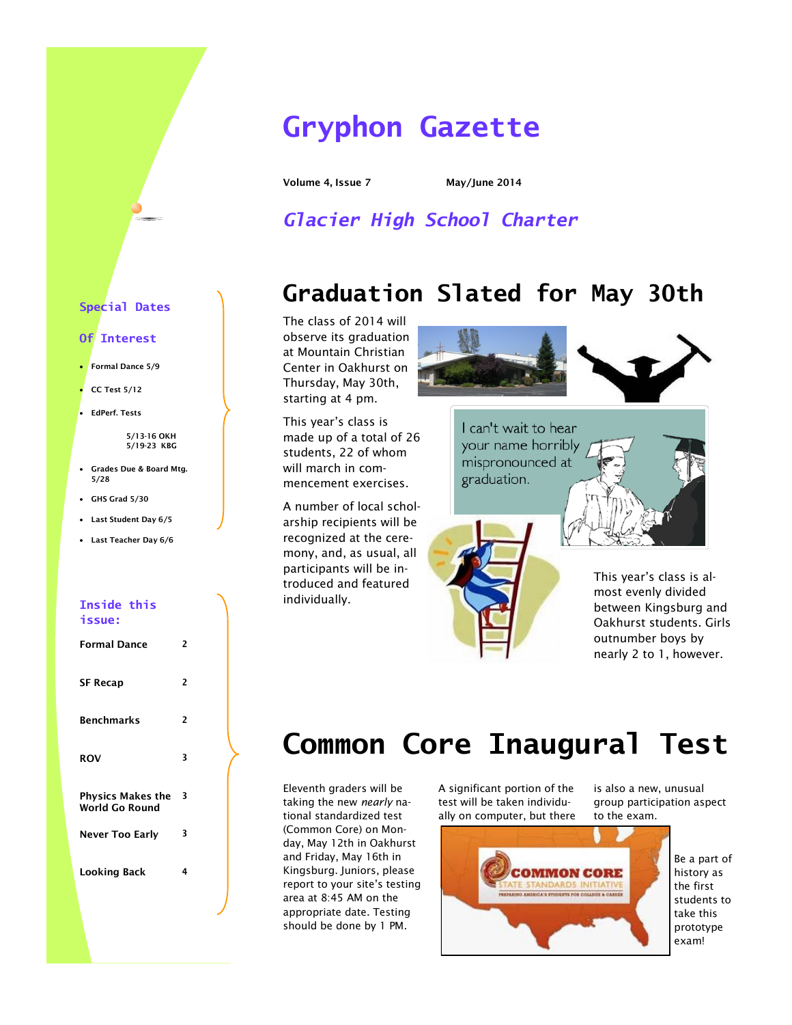## **Gryphon Gazette**

**Volume 4, Issue 7 May/June 2014**

*Glacier High School Charter*

## **Graduation Slated for May 30th**

The class of 2014 will observe its graduation at Mountain Christian Center in Oakhurst on Thursday, May 30th, starting at 4 pm.

This year's class is made up of a total of 26 students, 22 of whom will march in commencement exercises.

A number of local scholarship recipients will be recognized at the ceremony, and, as usual, all participants will be introduced and featured individually.



I can't wait to hear your name horribly mispronounced at graduation.

This year's class is almost evenly divided between Kingsburg and Oakhurst students. Girls outnumber boys by nearly 2 to 1, however.

## **Common Core Inaugural Test**

Eleventh graders will be taking the new *nearly* national standardized test (Common Core) on Monday, May 12th in Oakhurst and Friday, May 16th in Kingsburg. Juniors, please report to your site's testing area at 8:45 AM on the appropriate date. Testing should be done by 1 PM.

A significant portion of the test will be taken individually on computer, but there is also a new, unusual group participation aspect to the exam.



Be a part of history as the first students to take this prototype exam!

#### **Special Dates**

#### **Of Interest**

- **Formal Dance 5/9**
- **CC Test 5/12**
- **EdPerf. Tests**

**5/13-16 OKH 5/19-23 KBG**

- **Grades Due & Board Mtg. 5/28**
- **GHS Grad 5/30**
- **Last Student Day 6/5**
- **Last Teacher Day 6/6**

#### **Inside this issue:**

| Formal Dance                               | 2 |
|--------------------------------------------|---|
| <b>SF Recap</b>                            | 2 |
| <b>Benchmarks</b>                          | 2 |
| <b>ROV</b>                                 | 3 |
| <b>Physics Makes the</b><br>World Go Round | 3 |
| <b>Never Too Early</b>                     | 3 |
| Looking Back                               | 4 |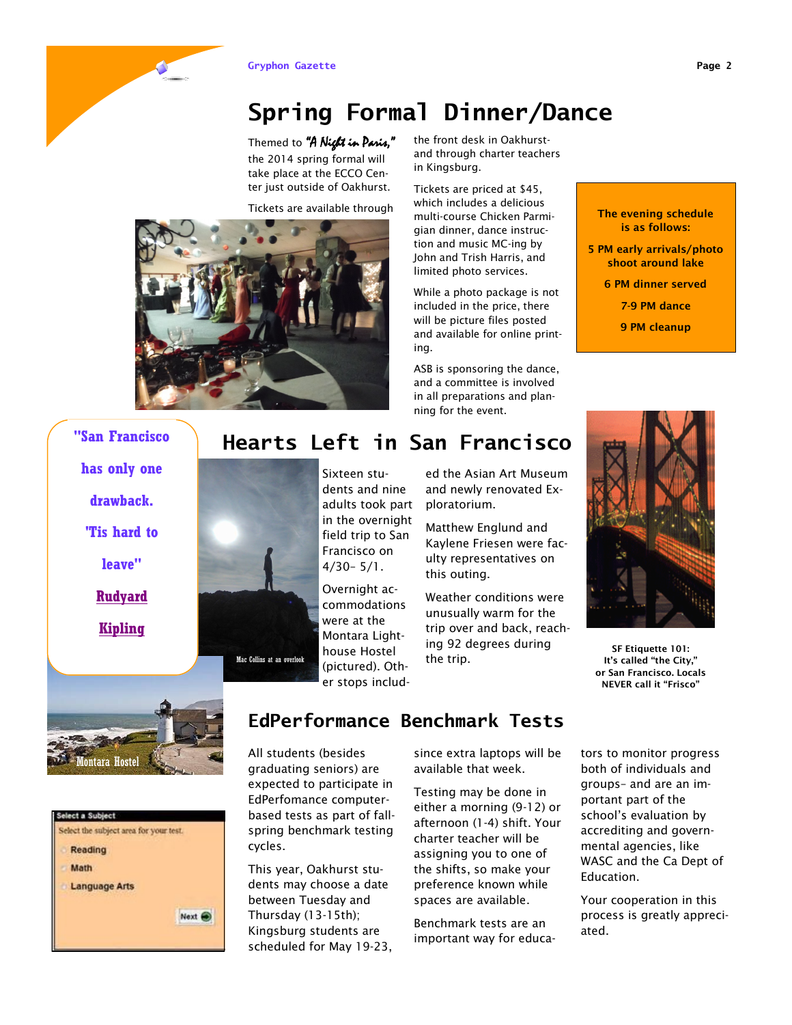### **Spring Formal Dinner/Dance**

Themed to "A Night in Paris," the 2014 spring formal will take place at the ECCO Center just outside of Oakhurst.

Tickets are available through



the front desk in Oakhurstand through charter teachers in Kingsburg.

Tickets are priced at \$45, which includes a delicious multi-course Chicken Parmigian dinner, dance instruction and music MC-ing by John and Trish Harris, and limited photo services.

While a photo package is not included in the price, there will be picture files posted and available for online printing.

ASB is sponsoring the dance, and a committee is involved in all preparations and planning for the event.

ed the Asian Art Museum and newly renovated Ex-

Matthew Englund and Kaylene Friesen were faculty representatives on

Weather conditions were unusually warm for the trip over and back, reaching 92 degrees during

ploratorium.

this outing.

the trip.

**The evening schedule is as follows:**

- **5 PM early arrivals/photo shoot around lake**
	- **6 PM dinner served**
		- **7-9 PM dance**
		- **9 PM cleanup**



**SF Etiquette 101: It's called "the City," or San Francisco. Locals NEVER call it "Frisco"**



**leave"**

**"San Francisco** 

**[Rudyard](http://www.kipling.org.uk/kip_fra.htm)** 

**[Kipling](http://www.kipling.org.uk/kip_fra.htm)**



Mac Collins at an overlook





### **EdPerformance Benchmark Tests**

Montara Lighthouse Hostel (pictured). Other stops includ-

**Hearts Left in San Francisco** 

All students (besides graduating seniors) are expected to participate in EdPerfomance computerbased tests as part of fallspring benchmark testing cycles.

This year, Oakhurst students may choose a date between Tuesday and Thursday (13-15th); Kingsburg students are scheduled for May 19-23, since extra laptops will be available that week.

Testing may be done in either a morning (9-12) or afternoon (1-4) shift. Your charter teacher will be assigning you to one of the shifts, so make your preference known while spaces are available.

Benchmark tests are an important way for educators to monitor progress both of individuals and groups– and are an important part of the school's evaluation by accrediting and governmental agencies, like WASC and the Ca Dept of Education.

Your cooperation in this process is greatly appreciated.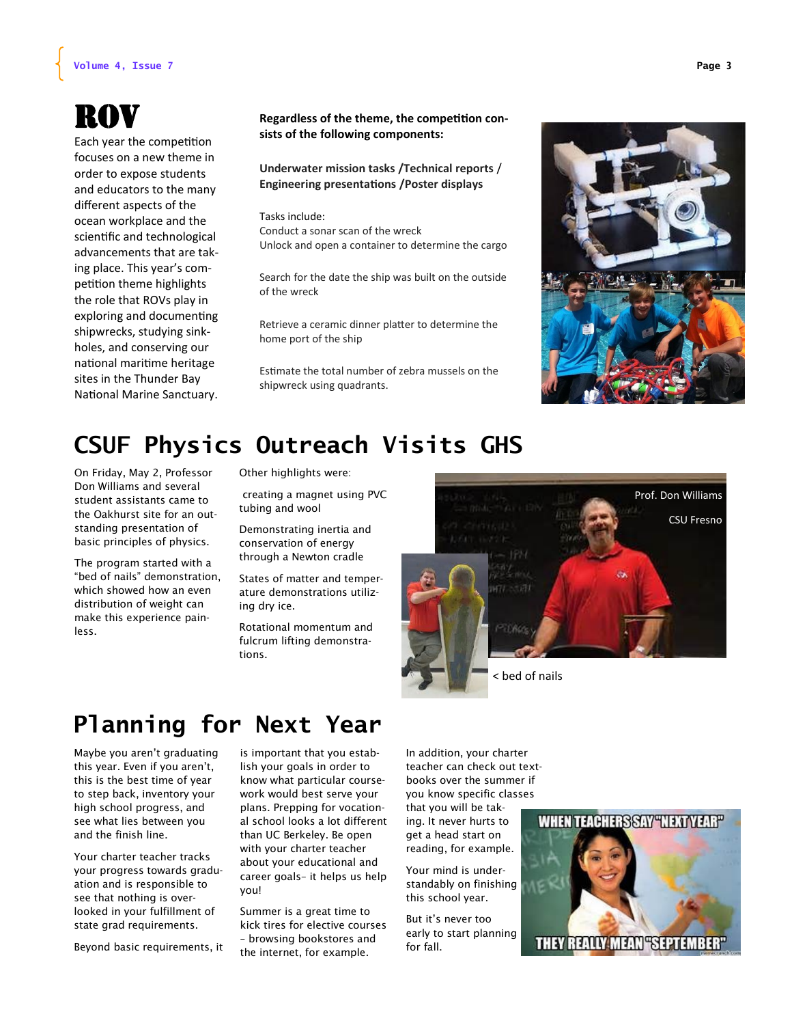#### **Volume 4, Issue 7 Page 3**

# ROV

Each year the competition focuses on a new theme in order to expose students and educators to the many different aspects of the ocean workplace and the scientific and technological advancements that are taking place. This year's competition theme highlights the role that ROVs play in exploring and documenting shipwrecks, studying sinkholes, and conserving our national maritime heritage sites in the Thunder Bay National Marine Sanctuary.

#### **Regardless of the theme, the competition consists of the following components:**

**Underwater mission tasks /Technical reports** / **Engineering presentations /Poster displays**

Tasks include: Conduct a sonar scan of the wreck Unlock and open a container to determine the cargo

Search for the date the ship was built on the outside of the wreck

Retrieve a ceramic dinner platter to determine the home port of the ship

Estimate the total number of zebra mussels on the shipwreck using quadrants.



## **CSUF Physics Outreach Visits GHS**

On Friday, May 2, Professor Don Williams and several student assistants came to the Oakhurst site for an outstanding presentation of basic principles of physics.

The program started with a "bed of nails" demonstration, which showed how an even distribution of weight can make this experience painless.

Other highlights were:

creating a magnet using PVC tubing and wool

Demonstrating inertia and conservation of energy through a Newton cradle

States of matter and temperature demonstrations utilizing dry ice.

Rotational momentum and fulcrum lifting demonstrations.



< bed of nails

### **Planning for Next Year**

Maybe you aren't graduating this year. Even if you aren't, this is the best time of year to step back, inventory your high school progress, and see what lies between you and the finish line.

Your charter teacher tracks your progress towards graduation and is responsible to see that nothing is overlooked in your fulfillment of state grad requirements.

Beyond basic requirements, it

is important that you establish your goals in order to know what particular coursework would best serve your plans. Prepping for vocational school looks a lot different than UC Berkeley. Be open with your charter teacher about your educational and career goals– it helps us help you!

Summer is a great time to kick tires for elective courses – browsing bookstores and the internet, for example.

In addition, your charter teacher can check out textbooks over the summer if you know specific classes that you will be taking. It never hurts to get a head start on reading, for example.

Your mind is understandably on finishing this school year.

But it's never too early to start planning for fall.



**THEY REALLY MEAN "SEPTEMBER"**